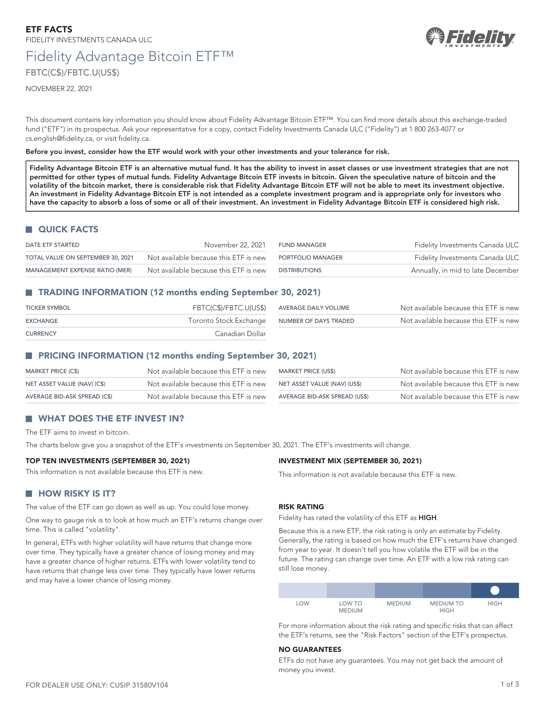# Fidelity Advantage Bitcoin ETF™ FBTC(C\$)/FBTC.U(US\$)

NOVEMBER 22, 2021

This document contains key information you should know about Fidelity Advantage Bitcoin ETF™. You can find more details about this exchange-traded fund ("ETF") in its prospectus. Ask your representative for a copy, contact Fidelity Investments Canada ULC ("Fidelity") at 1 800 263-4077 or [cs.english@fidelity.ca,](mailto:cs.english@fidelity.ca) or visit [fidelity.ca](https://fidelity.ca).

**Before you invest, consider how the ETF would work with your other investments and your tolerance for risk.**

Fidelity Advantage Bitcoin ETF is an alternative mutual fund. It has the ability to invest in asset classes or use investment strategies that are not **permitted for other types of mutual funds. Fidelity Advantage Bitcoin ETF invests in bitcoin. Given the speculative nature of bitcoin and the volatility of the bitcoin market, there is considerable risk that Fidelity Advantage Bitcoin ETF will not be able to meet its investment objective. An investment in Fidelity Advantage Bitcoin ETF is not intended as a complete investment program and is appropriate only for investors who have the capacity to absorb a loss of some or all of their investment. An investment in Fidelity Advantage Bitcoin ETF is considered high risk.**

# **QUICK FACTS**

| DATE ETF STARTED                  | November 22, 2021                     | FUND MANAGER         | Fidelity Investments Canada ULC   |
|-----------------------------------|---------------------------------------|----------------------|-----------------------------------|
| TOTAL VALUE ON SEPTEMBER 30, 2021 | Not available because this ETF is new | PORTFOLIO MANAGER    | Fidelity Investments Canada ULC   |
| MANAGEMENT EXPENSE RATIO (MER)    | Not available because this ETF is new | <b>DISTRIBUTIONS</b> | Annually, in mid to late December |

# **TRADING INFORMATION (12 months ending September 30, 2021)**

| <b>TICKER SYMBOL</b> | FBTC(C\$)/FBTC.U(US\$)                       | AVERAGE DAILY VOLUME | Not available because this ETF is new |
|----------------------|----------------------------------------------|----------------------|---------------------------------------|
| EXCHANGE             | Toronto Stock Exchange NUMBER OF DAYS TRADED |                      | Not available because this ETF is new |
| <b>CURRENCY</b>      | Canadian Dollar                              |                      |                                       |

# **PRICING INFORMATION (12 months ending September 30, 2021)**

| MARKET PRICE (C\$)           | Not available because this ETF is new | MARKET PRICE (US\$)           | Not available because this ETF is new |
|------------------------------|---------------------------------------|-------------------------------|---------------------------------------|
| NET ASSET VALUE (NAV) (C\$)  | Not available because this ETF is new | NET ASSET VALUE (NAV) (US\$)  | Not available because this ETF is new |
| AVERAGE BID-ASK SPREAD (C\$) | Not available because this ETF is new | AVERAGE BID-ASK SPREAD (US\$) | Not available because this ETF is new |

# **WHAT DOES THE ETF INVEST IN?**

The ETF aims to invest in bitcoin.

The charts below give you a snapshot of the ETF's investments on September 30, 2021. The ETF's investments will change.

#### **TOP TEN INVESTMENTS (SEPTEMBER 30, 2021)**

This information is not available because this ETF is new.

# **HOW RISKY IS IT?**

The value of the ETF can go down as well as up. You could lose money.

One way to gauge risk is to look at how much an ETF's returns change over time. This is called "volatility".

In general, ETFs with higher volatility will have returns that change more over time. They typically have a greater chance of losing money and may have a greater chance of higher returns. ETFs with lower volatility tend to have returns that change less over time. They typically have lower returns and may have a lower chance of losing money.

### This information is not available because this ETF is new.

**INVESTMENT MIX (SEPTEMBER 30, 2021)**

# **RISK RATING**

Fidelity has rated the volatility of this ETF as **HIGH**.

Because this is a new ETF, the risk rating is only an estimate by Fidelity. Generally, the rating is based on how much the ETF's returns have changed from year to year. It doesn't tell you how volatile the ETF will be in the future. The rating can change over time. An ETF with a low risk rating can still lose money.

| <b>LOW</b> | LOW TO<br><b>MEDIUM</b> | <b>MEDIUM</b> | <b>MEDIUM TO</b><br><b>HIGH</b> | <b>HIGH</b> |
|------------|-------------------------|---------------|---------------------------------|-------------|

For more information about the risk rating and specific risks that can affect the ETF's returns, see the "Risk Factors" section of the ETF's prospectus.

# **NO GUARANTEES**

ETFs do not have any guarantees. You may not get back the amount of money you invest.

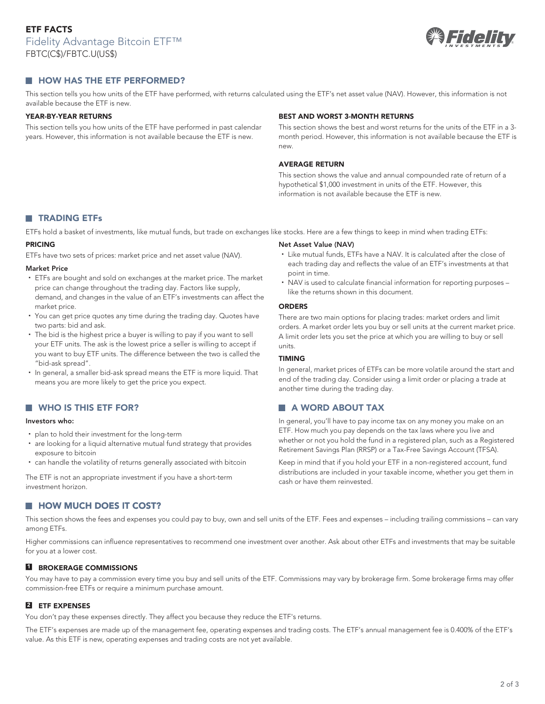

# **HOW HAS THE ETF PERFORMED?**

This section tells you how units of the ETF have performed, with returns calculated using the ETF's net asset value (NAV). However, this information is not available because the ETF is new.

#### **YEAR-BY-YEAR RETURNS**

This section tells you how units of the ETF have performed in past calendar years. However, this information is not available because the ETF is new.

#### **BEST AND WORST 3-MONTH RETURNS**

like the returns shown in this document.

another time during the trading day.

**A WORD ABOUT TAX**

cash or have them reinvested.

This section shows the best and worst returns for the units of the ETF in a 3 month period. However, this information is not available because the ETF is new.

#### **AVERAGE RETURN**

**Net Asset Value (NAV)**

point in time.

**ORDERS**

units. **TIMING**

This section shows the value and annual compounded rate of return of a hypothetical \$1,000 investment in units of the ETF. However, this information is not available because the ETF is new.

• Like mutual funds, ETFs have a NAV. It is calculated after the close of each trading day and reflects the value of an ETF's investments at that

• NAV is used to calculate financial information for reporting purposes -

There are two main options for placing trades: market orders and limit orders. A market order lets you buy or sell units at the current market price. A limit order lets you set the price at which you are willing to buy or sell

In general, market prices of ETFs can be more volatile around the start and end of the trading day. Consider using a limit order or placing a trade at

In general, you'll have to pay income tax on any money you make on an ETF. How much you pay depends on the tax laws where you live and whether or not you hold the fund in a registered plan, such as a Registered Retirement Savings Plan (RRSP) or a Tax-Free Savings Account (TFSA). Keep in mind that if you hold your ETF in a non-registered account, fund distributions are included in your taxable income, whether you get them in

# **TRADING ETFs**

ETFs hold a basket of investments, like mutual funds, but trade on exchanges like stocks. Here are a few things to keep in mind when trading ETFs:

### **PRICING**

ETFs have two sets of prices: market price and net asset value (NAV).

#### **Market Price**

- ETFs are bought and sold on exchanges at the market price. The market price can change throughout the trading day. Factors like supply, demand, and changes in the value of an ETF's investments can affect the market price.
- You can get price quotes any time during the trading day. Quotes have two parts: bid and ask.
- The bid is the highest price a buyer is willing to pay if you want to sell your ETF units. The ask is the lowest price a seller is willing to accept if you want to buy ETF units. The difference between the two is called the "bid-ask spread".
- In general, a smaller bid-ask spread means the ETF is more liquid. That means you are more likely to get the price you expect.

# **WHO IS THIS ETF FOR?**

#### **Investors who:**

- plan to hold their investment for the long-term
- are looking for a liquid alternative mutual fund strategy that provides exposure to bitcoin
- can handle the volatility of returns generally associated with bitcoin

The ETF is not an appropriate investment if you have a short-term investment horizon.

# **HOW MUCH DOES IT COST?**

This section shows the fees and expenses you could pay to buy, own and sell units of the ETF. Fees and expenses – including trailing commissions – can vary among ETFs.

Higher commissions can influence representatives to recommend one investment over another. Ask about other ETFs and investments that may be suitable for you at a lower cost.

#### **1 BROKERAGE COMMISSIONS**

You may have to pay a commission every time you buy and sell units of the ETF. Commissions may vary by brokerage firm. Some brokerage firms may offer commission-free ETFs or require a minimum purchase amount.

# **2 ETF EXPENSES**

You don't pay these expenses directly. They affect you because they reduce the ETF's returns.

The ETF's expenses are made up of the management fee, operating expenses and trading costs. The ETF's annual management fee is 0.400% of the ETF's value. As this ETF is new, operating expenses and trading costs are not yet available.